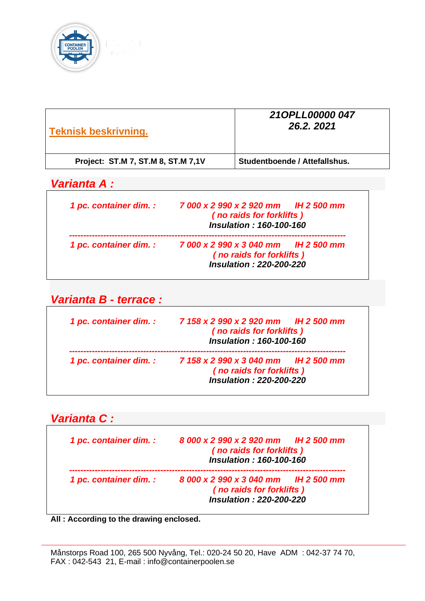

| <b>Teknisk beskrivning.</b>        | 210PLL00000 047<br>26.2.2021  |
|------------------------------------|-------------------------------|
| Project: ST.M 7, ST.M 8, ST.M 7,1V | Studentboende / Attefallshus. |

# *Varianta A :*

| 1 pc. container dim. : | 7 000 x 2 990 x 2 920 mm H 2 500 mm<br>(no raids for forklifts)<br><b>Insulation: 160-100-160</b>        |
|------------------------|----------------------------------------------------------------------------------------------------------|
| 1 pc. container dim. : | 7 000 x 2 990 x 3 040 mm       IH 2 500 mm<br>(no raids for forklifts)<br><b>Insulation: 220-200-220</b> |

*Varianta B - terrace :* 

| 1 pc. container dim. : | 7 158 x 2 990 x 2 920 mm H 2 500 mm<br>(no raids for forklifts)<br><b>Insulation: 160-100-160</b>  |
|------------------------|----------------------------------------------------------------------------------------------------|
| 1 pc. container dim. : | 7 158 x 2 990 x 3 040 mm IH 2 500 mm<br>(no raids for forklifts)<br><b>Insulation: 220-200-220</b> |

# *Varianta C : 1 pc. container dim. : 8 000 x 2 990 x 2 920 mm IH 2 500 mm ( no raids for forklifts ) Insulation : 160-100-160 ------------------------------------------------------------------------------------------------- 1 pc. container dim. : 8 000 x 2 990 x 3 040 mm IH 2 500 mm ( no raids for forklifts ) Insulation : 220-200-220*

**All : According to the drawing enclosed.**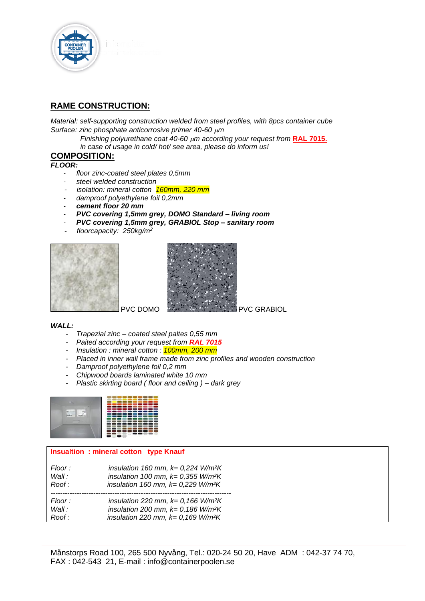

# **RAME CONSTRUCTION:**

*Material: self-supporting construction welded from steel profiles, with 8pcs container cube Surface: zinc phosphate anticorrosive primer 40-60 m* 

> *Finishing polyurethane coat 40-60 m according your request from* **RAL 7015.**  *in case of usage in cold/ hot/ see area, please do inform us!*

## **COMPOSITION:**

*FLOOR:*

- *floor zinc-coated steel plates 0,5mm*
- *steel welded construction*
- *isolation: mineral cotton 160mm, 220 mm*
- *damproof polyethylene foil 0,2mm*
- *cement floor 20 mm*
- *PVC covering 1,5mm grey, DOMO Standard – living room*
- *PVC covering 1,5mm grey, GRABIOL Stop – sanitary room*
- *floorcapacity: 250kg/m<sup>2</sup>*





#### *WALL:*

- *Trapezial zinc – coated steel paltes 0,55 mm*
- *Paited according your request from RAL 7015*
- *Insulation : mineral cotton : 100mm, 200 mm*
- *Placed in inner wall frame made from zinc profiles and wooden construction*
- *Damproof polyethylene foil 0,2 mm*
- *Chipwood boards laminated white 10 mm*
- *Plastic skirting board ( floor and ceiling ) – dark grey*



#### **Insualtion : mineral cotton type Knauf**

| Floor : | insulation 160 mm, $k = 0.224$ W/m <sup>2</sup> K |
|---------|---------------------------------------------------|
| Wall:   | insulation 100 mm, $k = 0.355$ W/m <sup>2</sup> K |
| Roof :  | insulation 160 mm, $k = 0,229$ W/m <sup>2</sup> K |
| Floor : | insulation 220 mm, $k=0,166$ W/m <sup>2</sup> K   |
| Wall:   | insulation 200 mm, $k = 0,186$ W/m <sup>2</sup> K |
| Roof :  | insulation 220 mm, $k = 0,169$ W/m <sup>2</sup> K |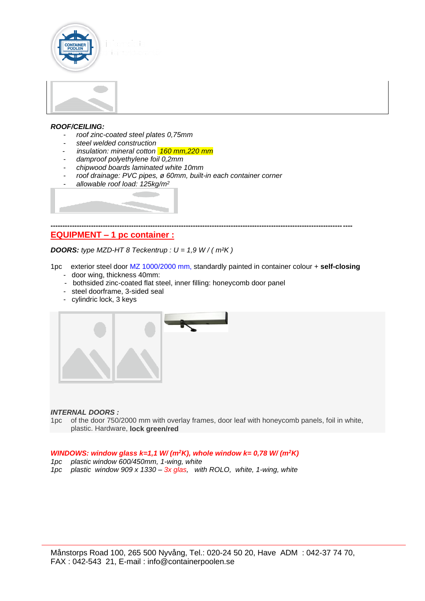



#### *ROOF/CEILING:*

- *roof zinc-coated steel plates 0,75mm*
- *steel welded construction*
- *insulation: mineral cotton* 160 mm, 220 mm
- *damproof polyethylene foil 0,2mm*
- *chipwood boards laminated white 10mm*
- *roof drainage: PVC pipes, ø 60mm, built-in each container corner*
- *[allowable roof load: 125kg/m](http://www.satjam.cz/web/document/cms_library/421.jpg)<sup>2</sup>*

#### **------------------------------------------------------------------------------------------------------------------------------- EQUIPMENT – 1 pc container :**

*DOORS: type MZD-HT 8 Teckentrup : U = 1,9 W / ( m²K )*

1pc exterior steel door MZ 1000/2000 mm, standardly painted in container colour + **self-closing**

- door wing, thickness 40mm:
- bothsided zinc-coated flat steel, inner filling: honeycomb door panel
- steel doorframe, 3-sided seal
- cylindric lock, 3 keys



#### *INTERNAL DOORS :*

1pc of the door 750/2000 mm with overlay frames, door leaf with honeycomb panels, foil in white, plastic. Hardware, **lock green/red**

#### *WINDOWS: window glass k=1,1 W/ (m<sup>2</sup>K), whole window k= 0,78 W/ (m<sup>2</sup>K)*

- *1pc plastic window 600/450mm, 1-wing, white*
- *1pc plastic window 909 x 1330 – 3x glas, with ROLO, white, 1-wing, white*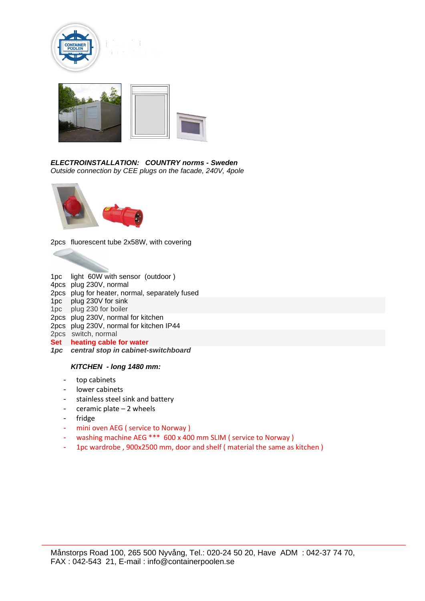



#### *ELECTROINSTALLATION: COUNTRY norms - Sweden Outside connection by CEE plugs on the facade, 240V, 4pole*



2pcs fluorescent tube 2x58W, with covering

1pc light 60W with sensor (outdoor ) 4pcs plug 230V, normal 2pcs plug for heater, normal, separately fused 1pc plug 230V for sink 1pc plug 230 for boiler 2pcs plug 230V, normal for kitchen 2pcs plug 230V, normal for kitchen IP44 2pcs switch, normal **Set heating cable for water** *1pc central stop in cabinet-switchboard*

#### *KITCHEN - long 1480 mm:*

- top cabinets
- lower cabinets
- stainless steel sink and battery
- ceramic plate 2 wheels
- fridge
- mini oven AEG ( service to Norway )
- washing machine AEG \*\*\* 600 x 400 mm SLIM ( service to Norway )
- 1pc wardrobe , 900x2500 mm, door and shelf ( material the same as kitchen )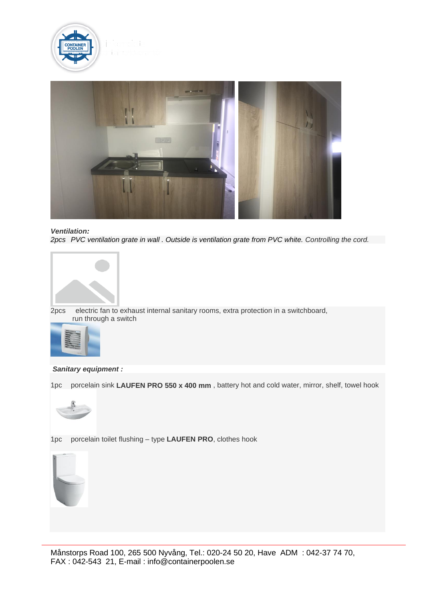



*Ventilation: 2pcs PVC ventilation grate in wall . Outside is ventilation grate from PVC white. Controlling the cord.*



2pcs electric fan to exhaust internal sanitary rooms, extra protection in a switchboard, run through a switch



*Sanitary equipment :* 

1pc porcelain sink **LAUFEN PRO 550 x 400 mm** , battery hot and cold water, mirror, shelf, towel hook



1pc porcelain toilet flushing – type **LAUFEN PRO**, clothes hook

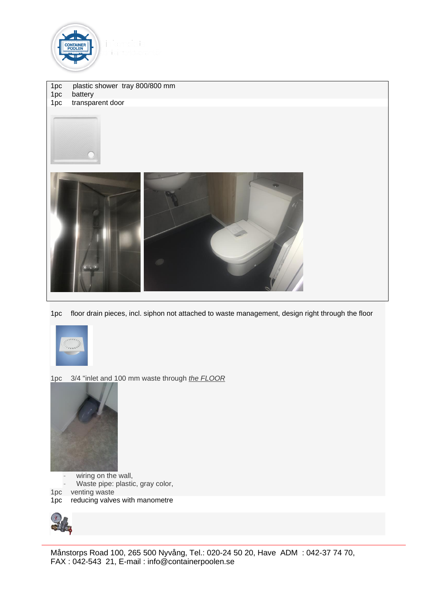

1pc plastic shower tray 800/800 mm 1pc battery

1pc transparent door



1pc floor drain pieces, incl. siphon not attached to waste management, design right through the floor



1pc 3/4 "inlet and 100 mm waste through *the FLOOR*



wiring on the wall,

- Waste pipe: plastic, gray color,
- 1pc venting waste

1pc reducing valves with manometre



Månstorps Road 100, 265 500 Nyvång, Tel.: 020-24 50 20, Have ADM : 042-37 74 70, FAX : 042-543 21, E-mail : info@containerpoolen.se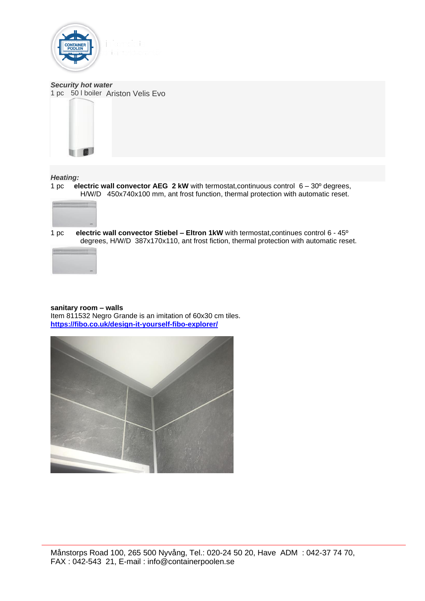

*Security hot water* 1 pc 50 l boiler Ariston Velis Evo



#### *Heating:*

1 pc **electric wall convector AEG 2 kW** with termostat,continuous control 6 – 30º degrees, H/W/D 450x740x100 mm, ant frost function, thermal protection with automatic reset.



1 pc **electric wall convector Stiebel – Eltron 1kW** with termostat,continues control 6 - 45º degrees, H/W/D 387x170x110, ant frost fiction, thermal protection with automatic reset.



#### **sanitary room – walls**

Item 811532 Negro Grande is an imitation of 60x30 cm tiles. **<https://fibo.co.uk/design-it-yourself-fibo-explorer/>**